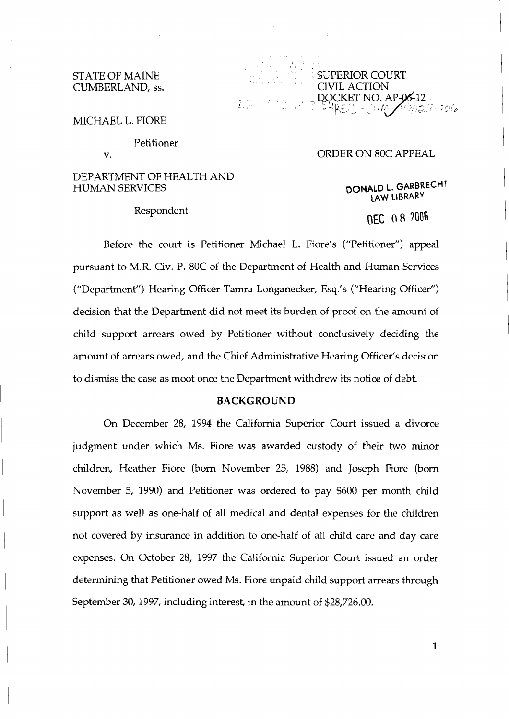### STATE OF MAINE CUMBERLAND, ss.

 $\begin{pmatrix} 1 & 0 & 1 & 1 \\ 0 & 0 & 0 & 1 \\ 0 & 0 & 0 & 0 \\ 0 & 0 & 0 & 0 \end{pmatrix}$ . , , , , , . . , . . . .. . , , SUPERIOR COURT CIVIL ACTION<br>DOCKET NO. AP-06-12<br>54<sub>REC</sub> - JUM 210/12/10-2016

. ..

MICHAEL L. FIORE

Petitioner

v.

## DEPARTMENT OF HEALTH AND HUMAN SERVICES

Respondent

# ORDER ON 80C APPEAL

**DONALD L. GARBRECHT LAW LIBRARY** 

DFC 08 2006

Before the court is Petitioner Michael L. Fiore's ("Petitioner") appeal pursuant to M.R. Civ. P. 80C of the Department of Health and Human Services ("Department") Hearing Officer Tamra Longanecker, Esq.'s ("Hearing Officer") decision that the Department did not meet its burden of proof on the amount of child support arrears owed by Petitioner without conclusively deciding the amount of arrears owed, and the Chief Administrative Hearing Officer's decision to dismiss the case as moot once the Department withdrew its notice of debt.

## **BACKGROUND**

On December 28, 1994 the California Superior Court issued a divorce judgment under which Ms. Fiore was awarded custody of their two minor children, Heather Fiore (born November 25, 1988) and Joseph Fiore (born November 5, 1990) and Petitioner was ordered to pay \$600 per month child support as well as one-half of all medical and dental expenses for the children not covered by insurance in addition to one-half of all child care and day care expenses. On October 28, 1997 the California Superior Court issued an order determining that Petitioner owed Ms. Fiore unpaid child support arrears through September 30,1997, including interest, in the amount of \$28,726.00.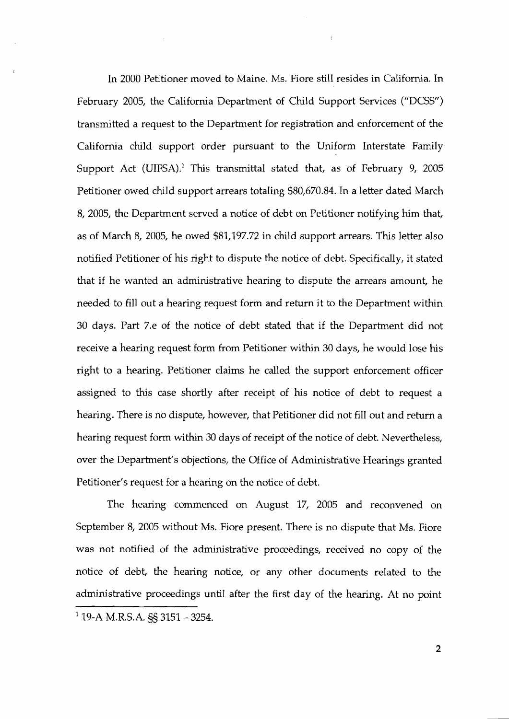In 2000 Petitioner moved to Maine. Ms. Fiore still resides in California. In February 2005, the California Department of Child Support Services ("DCSS") transmitted a request to the Department for registration and enforcement of the California child support order pursuant to the Uniform Interstate Family Support Act (UIFSA).' This transmittal stated that, as of February 9, 2005 Petitioner owed child support arrears totaling \$80,670.84. In a letter dated March 8, 2005, the Department served a notice of debt on Petitioner notifying him that, as of March 8, 2005, he owed \$81,197.72 in child support arrears. This letter also notified Petitioner of his right to dispute the notice of debt. Specifically, it stated that if he wanted an administrative hearing to dispute the arrears amount, he needed to fill out a hearing request form and return it to the Department within 30 days. Part 7.e of the notice of debt stated that if the Department did not receive a hearing request form from Petitioner within 30 days, he would lose his right to a hearing. Petitioner claims he called the support enforcement officer assigned to this case shortly after receipt of his notice of debt to request a hearing. There is no dispute, however, that Petitioner did not fill out and return a hearing request form within 30 days of receipt of the notice of debt. Nevertheless, over the Department's objections, the Office of Administrative Hearings granted Petitioner's request for a hearing on the notice of debt.

The hearing commenced on August 17, 2005 and reconvened on September 8, 2005 without Ms. Fiore present. There is no dispute that Ms. Fiore was not notified of the administrative proceedings, received no copy of the notice of debt, the hearing notice, or any other documents related to the administrative proceedings until after the first day of the hearing. At no point  $1$  19-A M.R.S.A. §§ 3151 - 3254.

 $\overline{2}$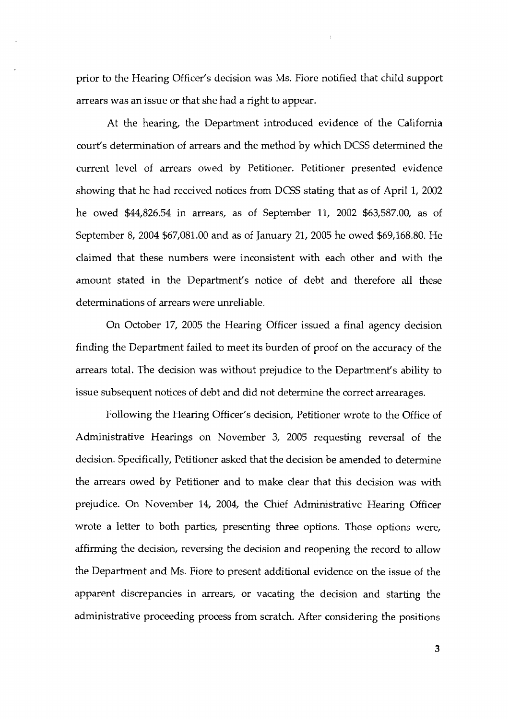prior to the Hearing Officer's decision was Ms. Fiore notified that child support arrears was an issue or that she had a right to appear.

At the hearing, the Department introduced evidence of the California court's determination of arrears and the method by which DCSS determined the current level of arrears owed by Petitioner. Petitioner presented evidence showing that he had received notices from DCSS stating that as of April 1, 2002 he owed \$44,826.54 in arrears, as of September 11, 2002 \$63,587.00, as of September 8, 2004 \$67,081.00 and as of January 21, 2005 he owed \$69,168.80. He claimed that these numbers were inconsistent with each other and with the amount stated in the Department's notice of debt and therefore all these determinations of arrears were unreliable.

On October 17, 2005 the Hearing Officer issued a final agency decision finding the Department failed to meet its burden of proof on the accuracy of the arrears total. The decision was without prejudice to the Department's ability to issue subsequent notices of debt and did not determine the correct arrearages.

Following the Hearing Officer's decision, Petitioner wrote to the Office of Administrative Hearings on November **3,** 2005 requesting reversal of the decision. Specifically, Petitioner asked that the decision be amended to determine the arrears owed by Petitioner and to make clear that this decision was with prejudice. On November 14, 2004, the Chief Administrative Hearing Officer wrote a letter to both parties, presenting three options. Those options were, affirming the decision, reversing the decision and reopening the record to allow the Department and Ms. Fiore to present additional evidence on the issue of the apparent discrepancies in arrears, or vacating the decision and starting the administrative proceeding process from scratch. After considering the positions

3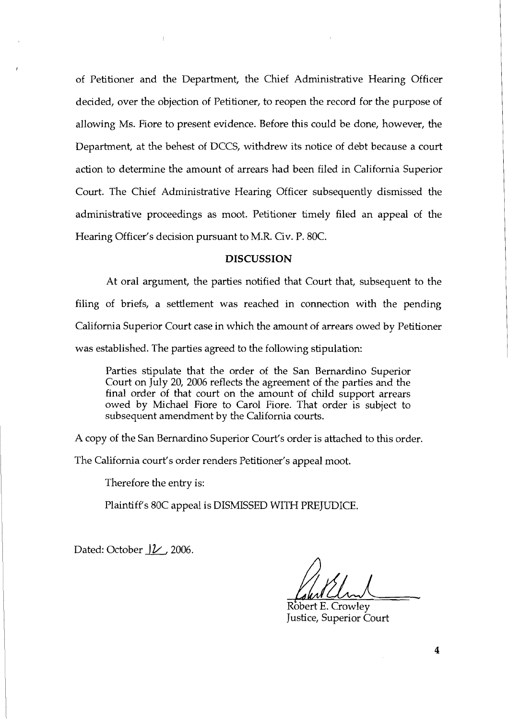of Petitioner and the Department, the Chief Administrative Hearing Officer decided, over the objection of Petitioner, to reopen the record for the purpose of allowing Ms. Fiore to present evidence. Before ths could be done, however, the Department, at the behest of DCCS, withdrew its notice of debt because a court action to determine the amount of arrears had been filed in California Superior Court. The Chief Administrative Hearing Officer subsequently dismissed the administrative proceedings as moot. Petitioner timely filed an appeal of the Hearing Officer's decision pursuant to M.R. Civ. P. 80C.

### **DISCUSSION**

At oral argument, the parties notified that Court that, subsequent to the filing of briefs, a settlement was reached in connection with the pending California Superior Court case in whch the amount of arrears owed by Petitioner was established. The parties agreed to the following stipulation:

Parties stipulate that the order of the San Bernardino Superior Court on July 20, 2006 reflects the agreement of the parties and the final order of that court on the amount of child support arrears owed by Michael Fiore to Carol Fiore. That order is subject to subsequent amendment by the California courts.

A copy of the San Bernardino Superior Court's order is attached to this order.

The California court's order renders Petitioner's appeal moot.

Therefore the entry is:

Plaintiff's 80C appeal is DISMISSED WITH PREJUDICE.

Dated: October *JL*, 2006.

Robert E. Crowlev Justice, Superior Court

4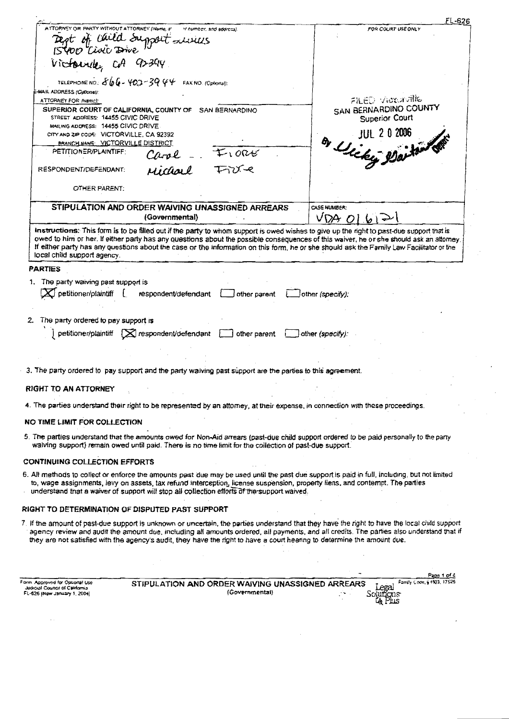|                                                                                                  |                                                                                                                                                                                                                                                                                                                                                                             | FL-626                                                                                                                                                                                                                                                                                     |
|--------------------------------------------------------------------------------------------------|-----------------------------------------------------------------------------------------------------------------------------------------------------------------------------------------------------------------------------------------------------------------------------------------------------------------------------------------------------------------------------|--------------------------------------------------------------------------------------------------------------------------------------------------------------------------------------------------------------------------------------------------------------------------------------------|
| ATTORNEY OR PARTY WITHOUT ATTORNEY (Name, 5'                                                     | ir number, and address).<br>Rept of child Support Luxius                                                                                                                                                                                                                                                                                                                    | FOR COURT USE ONLY                                                                                                                                                                                                                                                                         |
|                                                                                                  |                                                                                                                                                                                                                                                                                                                                                                             |                                                                                                                                                                                                                                                                                            |
| Victoriale CA 92394                                                                              |                                                                                                                                                                                                                                                                                                                                                                             |                                                                                                                                                                                                                                                                                            |
|                                                                                                  | TELEPHONE NO. $\delta b = 403 - 39.44$ FAX NO. (Optional):                                                                                                                                                                                                                                                                                                                  |                                                                                                                                                                                                                                                                                            |
| MAIL ADDRESS (Optionel):                                                                         |                                                                                                                                                                                                                                                                                                                                                                             |                                                                                                                                                                                                                                                                                            |
| ATTORNEY FOR INSMC):                                                                             |                                                                                                                                                                                                                                                                                                                                                                             | FILED VIOLAVILLE                                                                                                                                                                                                                                                                           |
| STREET ADDRESS: 14455 CIVIC DRIVE                                                                | SUPERIOR COURT OF CALIFORNIA, COUNTY OF SAN BERNARDINO                                                                                                                                                                                                                                                                                                                      | SAN BERNARDINO COUNTY<br>Superior Court                                                                                                                                                                                                                                                    |
| MAILING ADDRESS: 14455 CIVIC DRIVE<br>CITY AND ZIP CODS: VICTORVILLE, CA 92392                   |                                                                                                                                                                                                                                                                                                                                                                             | JUL 2 0 2006                                                                                                                                                                                                                                                                               |
| BRANCH NAME: VICTORVILLE DISTRICT<br>PETITIONER/PLAINTIFF:                                       | $I$ ore<br>Carol                                                                                                                                                                                                                                                                                                                                                            | By Uliky Waiton                                                                                                                                                                                                                                                                            |
| RESPONDENT/DEFENDANT:                                                                            | Michael Tire                                                                                                                                                                                                                                                                                                                                                                |                                                                                                                                                                                                                                                                                            |
| OTHER PARENT:                                                                                    |                                                                                                                                                                                                                                                                                                                                                                             |                                                                                                                                                                                                                                                                                            |
|                                                                                                  |                                                                                                                                                                                                                                                                                                                                                                             |                                                                                                                                                                                                                                                                                            |
|                                                                                                  | STIPULATION AND ORDER WAIVING UNASSIGNED ARREARS<br>(Governmental)                                                                                                                                                                                                                                                                                                          | CASE NUMBER:<br>$VDA$ $O b $                                                                                                                                                                                                                                                               |
| local child support agency.                                                                      | instructions. This form is to be filled out if the party to whom support is owed wishes to give up the right to past-due support that is<br>If either party has any questions about the case or the information on this form, he or she should ask the Family Law Facilitator or the                                                                                        | owed to him or her. If either party has any questions about the possible consequences of this waiver, he or she should ask an attorney.                                                                                                                                                    |
| <b>PARTIES</b>                                                                                   |                                                                                                                                                                                                                                                                                                                                                                             |                                                                                                                                                                                                                                                                                            |
| 2. The party ordered to pay support is                                                           | petitioner/plaintiff $\Box$ respondent/defendant $\Box$ other parent $\Box$ other (specify):                                                                                                                                                                                                                                                                                |                                                                                                                                                                                                                                                                                            |
|                                                                                                  | 3. The party ordered to pay support and the party waiving past support are the parties to this agreement.                                                                                                                                                                                                                                                                   |                                                                                                                                                                                                                                                                                            |
| RIGHT TO AN ATTORNEY                                                                             |                                                                                                                                                                                                                                                                                                                                                                             |                                                                                                                                                                                                                                                                                            |
|                                                                                                  | 4. The parties understand their right to be represented by an attorney, at their expense, in connection with these proceedings.                                                                                                                                                                                                                                             |                                                                                                                                                                                                                                                                                            |
| NO TIME LIMIT FOR COLLECTION                                                                     |                                                                                                                                                                                                                                                                                                                                                                             |                                                                                                                                                                                                                                                                                            |
|                                                                                                  | 5. The parties understand that the amounts owed for Non-Aid arrears (past-due child support ordered to be paid personally to the party<br>waiving support) remain owed until paid. There is no time limit for the collection of past-due support.                                                                                                                           |                                                                                                                                                                                                                                                                                            |
| <b>CONTINUING COLLECTION EFFORTS</b>                                                             |                                                                                                                                                                                                                                                                                                                                                                             |                                                                                                                                                                                                                                                                                            |
|                                                                                                  | 6. All methods to collect or enforce the amounts past due may be used until the past due support is paid in full, including, but not limited<br>to, wage assignments, levy on assets, tax refund interception, license suspension, property liens, and contempt. The parties<br>understand that a waiver of support will stop all collection efforts of the support waived. |                                                                                                                                                                                                                                                                                            |
|                                                                                                  | RIGHT TO DETERMINATION OF DISPUTED PAST SUPPORT                                                                                                                                                                                                                                                                                                                             |                                                                                                                                                                                                                                                                                            |
|                                                                                                  | they are not satisfied with the agency's audit, they have the right to have a court hearing to determine the amount due.                                                                                                                                                                                                                                                    | 7. If the amount of past-due support is unknown or uncertain, the parties understand that they have the right to have the local child support<br>agency review and audit the amount due, including all amounts ordered, all payments, and all credits. The parties also understand that if |
|                                                                                                  |                                                                                                                                                                                                                                                                                                                                                                             |                                                                                                                                                                                                                                                                                            |
|                                                                                                  |                                                                                                                                                                                                                                                                                                                                                                             | Page 1 of 4                                                                                                                                                                                                                                                                                |
| Form Approved for Optional Use<br>Judicial Council of California<br>FL-626 (New January 1, 2004) | STIPULATION AND ORDER WAIVING UNASSIGNED ARREARS<br>(Governmental)                                                                                                                                                                                                                                                                                                          | Fanity Code, § 4503, 17526<br>Solutions                                                                                                                                                                                                                                                    |

**LA Phis**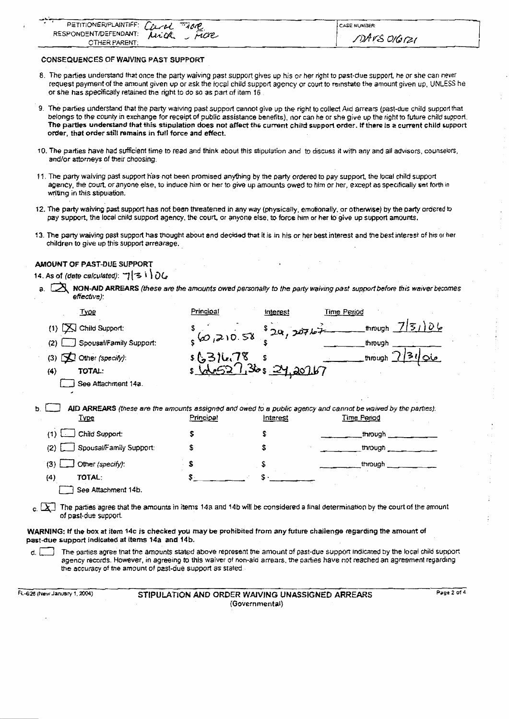| PETITIONERIPLAINTIFF: Creek TAOR |     | <b>CASE NUMBER</b> |
|----------------------------------|-----|--------------------|
|                                  | noe |                    |
| <b>CTHER PARENT:</b>             |     | DAVS OIGIZI        |

**CONSEQUENCES OF WAIVING PAST SUPPORT** 

- 8. The **parlies** understand that once the party waiving past support gives up his or her right to past-due support, he or **she** can never request payment of the amount given up or zsk the local child support agency or court to reinstate the amount given up, UNLESS he or she has specifically retained the right to do so as part of item 16
- 9. he parties understand that the **party** waiving past support cannot **give** up the right to collect **Atd** arrears (past-due child support that belongs to the county in exchange for receipt of public assistance benefits), nor can he or she give up the **right** to future child support The **parties** understand that **this** stipulation does not affect **th6 current child support order. If there is e** current **child** support order, that order still remains in full force and effect.
- 10. The parties have had sufficient time to read and think about this stipulation and to discuss it with any and all advisors, counselors, and/or attorneys of their choosing.
- **11.** The party waiving **pasf** support **h'as** not been promised anything by the party ordered to pay support, the local child support agency, the court. oranyone else, to **induce him** or her to give up amounts owed to him or her, except as speofically set forth **in**  writing in this stipulation.
- 12. The party waiving past support has not been threatened in any way (physically, emotionally, or otherwise) by the party ordered to pay support, the local cnild support agency, the court, or anyone else, to force him or her to give up support amounts.
- **73. The party** waiving **past** support **has** thought about and decided that it **is** in his or her best interest and tne **best** ntersr of hrs **or** her children to give **up** this support arrearage.

### **AMOUNT OF PAST-DUE SUPPORT**

**a.** As of (date calculated): コ|名り) OG<br>a. **[入 NON-AID ARREARS** (these are the amounts owed personally to the party waiving past suppod before this waiver becomes **effecbve):** 

| . <i>.</i> .                                                                                                                                                           |            |                             |                                                                                                                                                                                                                                                              |
|------------------------------------------------------------------------------------------------------------------------------------------------------------------------|------------|-----------------------------|--------------------------------------------------------------------------------------------------------------------------------------------------------------------------------------------------------------------------------------------------------------|
| <b>Type</b>                                                                                                                                                            | Principal  | interest                    | <b>Time Period</b>                                                                                                                                                                                                                                           |
| Child Support:<br>(1)                                                                                                                                                  |            | 320,20767                   | 7 51)06<br>through                                                                                                                                                                                                                                           |
| Spousal/Family Support:<br>(2)                                                                                                                                         | 560,210.58 |                             | through                                                                                                                                                                                                                                                      |
| $\sum$ Other (specify):<br>(3)                                                                                                                                         | s(53)U.78  | s                           | through $\mathcal{D}$                                                                                                                                                                                                                                        |
| TOTAL:<br>(4)                                                                                                                                                          |            | $s \sqrt{1.36s}$ $24.20167$ |                                                                                                                                                                                                                                                              |
| See Attachment 14a.                                                                                                                                                    |            |                             |                                                                                                                                                                                                                                                              |
| <u>Type</u>                                                                                                                                                            | Principal  | Interest                    | AID ARREARS (these are the amounts assigned and owed to a public agency and cannot be waived by the parties):<br>Time Period                                                                                                                                 |
| Child Support:<br>(1)                                                                                                                                                  |            | S                           | through                                                                                                                                                                                                                                                      |
| Spousal/Family Support:<br>(2)                                                                                                                                         |            | S                           | through                                                                                                                                                                                                                                                      |
| Other (specify):<br>(3)                                                                                                                                                | S.         |                             | through                                                                                                                                                                                                                                                      |
| <b>TOTAL:</b><br>(4)                                                                                                                                                   |            |                             |                                                                                                                                                                                                                                                              |
| See Attachment 14b.                                                                                                                                                    |            |                             |                                                                                                                                                                                                                                                              |
| of past-due support.                                                                                                                                                   |            |                             | The parties agree that the amounts in items 14a and 14b will be considered a final determination by the court of the amount                                                                                                                                  |
| WARNING: If the box at item 14c is checked you may be prohibited from any future challenge regarding the amount of<br>past-due support indicated at items 14a and 14b. |            |                             |                                                                                                                                                                                                                                                              |
| d. I                                                                                                                                                                   |            |                             | The parties agree that the amounts stated above represent the amount of past-due support indicated by the local child support<br>agency records. However, in agreeing to this waiver of non-aid arrears, the parties have not reached an agreement regarding |

the accuracy of **the** amount of pzst-due supporl as stated

**RL-628 (New January 1. 2004) STIPULATION AND ORDER WAIVING UNASSIGNED ARREARS** Page 2 of 4 (Governmental)

I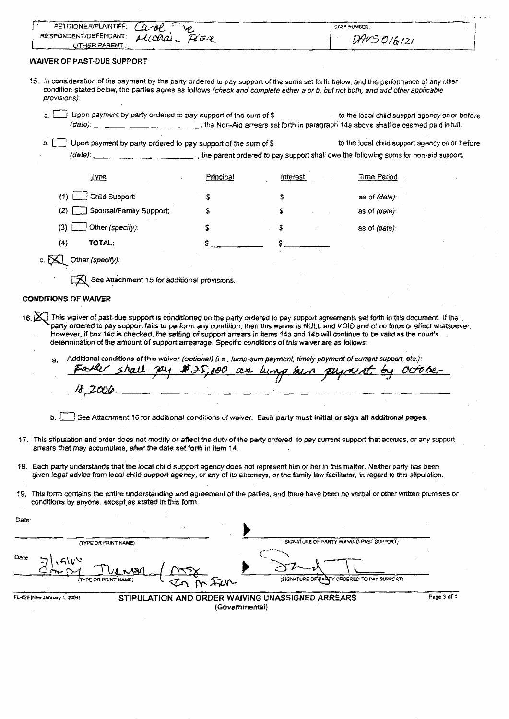|                                      | RESPONDENT/DEFENDANT:<br>Michael Pion                                                                                                                                                                                      |           |                   |                                                                                                                                                                                                                                                                                   |  |
|--------------------------------------|----------------------------------------------------------------------------------------------------------------------------------------------------------------------------------------------------------------------------|-----------|-------------------|-----------------------------------------------------------------------------------------------------------------------------------------------------------------------------------------------------------------------------------------------------------------------------------|--|
|                                      | OTHER PARENT:                                                                                                                                                                                                              |           |                   | DAVS 016121                                                                                                                                                                                                                                                                       |  |
|                                      | WAIVER OF PAST-DUE SUPPORT                                                                                                                                                                                                 |           |                   |                                                                                                                                                                                                                                                                                   |  |
|                                      |                                                                                                                                                                                                                            |           |                   |                                                                                                                                                                                                                                                                                   |  |
|                                      |                                                                                                                                                                                                                            |           |                   | 15. In consideration of the payment by the party ordered to pay support of the sums set forth below, and the performance of any other<br>condition stated below, the parties agree as follows (check and complete either a or b, but not both, and add other applicable           |  |
| provisions):                         |                                                                                                                                                                                                                            |           |                   |                                                                                                                                                                                                                                                                                   |  |
| a.                                   | Upon payment by party ordered to pay support of the sum of \$                                                                                                                                                              |           |                   | to the local child support agency on or before                                                                                                                                                                                                                                    |  |
|                                      |                                                                                                                                                                                                                            |           |                   |                                                                                                                                                                                                                                                                                   |  |
|                                      | Upon payment by party ordered to pay support of the sum of \$                                                                                                                                                              |           |                   | to the local child support agency on or before                                                                                                                                                                                                                                    |  |
|                                      |                                                                                                                                                                                                                            |           |                   |                                                                                                                                                                                                                                                                                   |  |
|                                      |                                                                                                                                                                                                                            |           |                   |                                                                                                                                                                                                                                                                                   |  |
|                                      | <u>Ivpe</u>                                                                                                                                                                                                                | Principal | Interest          | Time Period                                                                                                                                                                                                                                                                       |  |
| (1)                                  | Child Support:                                                                                                                                                                                                             | s         | s                 | as of (date):                                                                                                                                                                                                                                                                     |  |
| (2)                                  | Spousal/Family Support:                                                                                                                                                                                                    |           | s                 | as of (date):                                                                                                                                                                                                                                                                     |  |
| (3)                                  | Other (specify):                                                                                                                                                                                                           | \$        |                   | as of (date):                                                                                                                                                                                                                                                                     |  |
|                                      |                                                                                                                                                                                                                            |           |                   |                                                                                                                                                                                                                                                                                   |  |
| (4)                                  | TOTAL:                                                                                                                                                                                                                     |           |                   |                                                                                                                                                                                                                                                                                   |  |
|                                      | c. $\sum$ Other (specify):                                                                                                                                                                                                 |           |                   |                                                                                                                                                                                                                                                                                   |  |
|                                      |                                                                                                                                                                                                                            |           |                   |                                                                                                                                                                                                                                                                                   |  |
|                                      | $\Box$ See Attachment 15 for additional provisions.                                                                                                                                                                        |           |                   |                                                                                                                                                                                                                                                                                   |  |
|                                      |                                                                                                                                                                                                                            |           |                   |                                                                                                                                                                                                                                                                                   |  |
|                                      |                                                                                                                                                                                                                            |           |                   |                                                                                                                                                                                                                                                                                   |  |
|                                      |                                                                                                                                                                                                                            |           |                   | 16. At This waiver of past-due support is conditioned on the party ordered to pay support agreements set forth in this document. If the<br>party ordered to pay support fails to perform any condition, then this waiver is NULL and VOID and of no force or effect whatsoever.   |  |
| a.                                   | determination of the amount of support arrearage. Specific conditions of this waiver are as follows:<br>Additional conditions of this waiver (optional) (i.e., lump-sum payment, timely payment of current support, etc.): |           |                   | However, if box 14c is checked, the setting of support arrears in items 14a and 14b will continue to be valid as the court's                                                                                                                                                      |  |
|                                      | Father shall ply \$25,000 as lump sun plynent                                                                                                                                                                              |           |                   | by October                                                                                                                                                                                                                                                                        |  |
|                                      | 18,2006                                                                                                                                                                                                                    |           |                   |                                                                                                                                                                                                                                                                                   |  |
|                                      |                                                                                                                                                                                                                            |           |                   |                                                                                                                                                                                                                                                                                   |  |
|                                      |                                                                                                                                                                                                                            |           |                   |                                                                                                                                                                                                                                                                                   |  |
| b.                                   | See Attachment 16 for additional conditions of waiver. Each party must initial or sign all additional pages.                                                                                                               |           |                   |                                                                                                                                                                                                                                                                                   |  |
|                                      |                                                                                                                                                                                                                            |           |                   | 17. This stipulation and order does not modify or affect the duty of the party ordered to pay current support that accrues, or any support                                                                                                                                        |  |
|                                      | arrears that may accumulate, after the date set forth in item 14.                                                                                                                                                          |           |                   |                                                                                                                                                                                                                                                                                   |  |
|                                      |                                                                                                                                                                                                                            |           |                   |                                                                                                                                                                                                                                                                                   |  |
|                                      |                                                                                                                                                                                                                            |           |                   | 18. Each party understands that the local child support agency does not represent him or her in this matter. Neither party has been<br>given legal advice from local child support agency, or any of its attorneys, or the family law facilitator, in regard to this stipulation. |  |
|                                      |                                                                                                                                                                                                                            |           |                   |                                                                                                                                                                                                                                                                                   |  |
|                                      | conditions by anyone, except as stated in this form.                                                                                                                                                                       |           |                   | 19. This form contains the entire understanding and agreement of the parties, and there have been no verbal or other written promises or                                                                                                                                          |  |
|                                      |                                                                                                                                                                                                                            |           |                   |                                                                                                                                                                                                                                                                                   |  |
|                                      |                                                                                                                                                                                                                            |           |                   |                                                                                                                                                                                                                                                                                   |  |
|                                      | (TYPE OR PRINT NAME)                                                                                                                                                                                                       |           |                   | (SIGNATURE OF PARTY WANING PAST SUPPORT)                                                                                                                                                                                                                                          |  |
|                                      |                                                                                                                                                                                                                            |           |                   |                                                                                                                                                                                                                                                                                   |  |
| <b>CONDITIONS OF WAIVER</b><br>Date: |                                                                                                                                                                                                                            |           |                   |                                                                                                                                                                                                                                                                                   |  |
|                                      |                                                                                                                                                                                                                            |           | <b>ISIGNATURE</b> | ORDERED TO PAY SUPPORT)                                                                                                                                                                                                                                                           |  |
|                                      |                                                                                                                                                                                                                            |           |                   |                                                                                                                                                                                                                                                                                   |  |

 $\hat{\mathcal{A}}$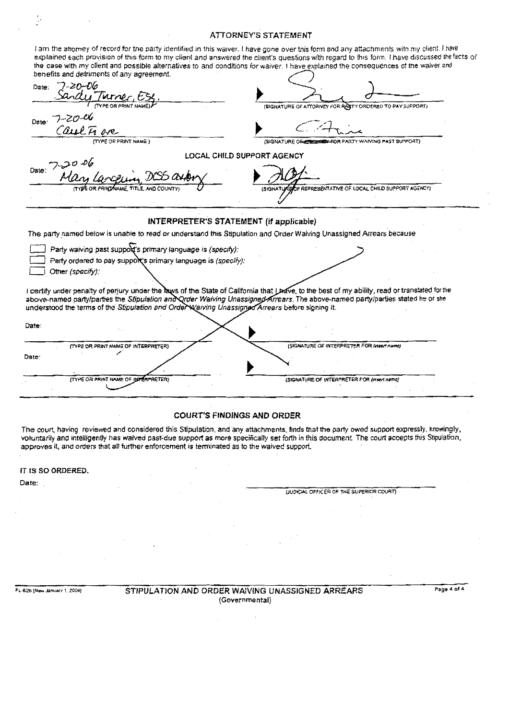### **ATTORNEY'S STATEMENT**

|                                                               |                                                                                                                                | the case with my client and possible alternatives to and conditions for waiver. I have explained the consequences of the waiver and |                                                  |  |                                                                                                                                                |
|---------------------------------------------------------------|--------------------------------------------------------------------------------------------------------------------------------|-------------------------------------------------------------------------------------------------------------------------------------|--------------------------------------------------|--|------------------------------------------------------------------------------------------------------------------------------------------------|
|                                                               |                                                                                                                                |                                                                                                                                     |                                                  |  |                                                                                                                                                |
|                                                               |                                                                                                                                | (SIGNATURE OF ATTORNEY FOR RARTY ORDERED TO PAY SUPPORT)                                                                            |                                                  |  |                                                                                                                                                |
|                                                               |                                                                                                                                |                                                                                                                                     |                                                  |  |                                                                                                                                                |
|                                                               |                                                                                                                                | (SIGNATURE ORCOCCONFOR PARTY WAIVING PAST SUPPORT)                                                                                  |                                                  |  |                                                                                                                                                |
|                                                               | LOCAL CHILD SUPPORT AGENCY                                                                                                     |                                                                                                                                     |                                                  |  |                                                                                                                                                |
|                                                               |                                                                                                                                |                                                                                                                                     |                                                  |  |                                                                                                                                                |
|                                                               | <b><i>ISIGNAT</i></b>                                                                                                          |                                                                                                                                     | OF REPRESENTATIVE OF LOCAL CHILD SUPPORT AGENCY) |  |                                                                                                                                                |
|                                                               |                                                                                                                                |                                                                                                                                     |                                                  |  |                                                                                                                                                |
|                                                               | INTERPRETER'S STATEMENT (if applicable)                                                                                        |                                                                                                                                     |                                                  |  |                                                                                                                                                |
|                                                               | The party named below is unable to read or understand this Stipulation and Order Walving Unassigned Arrears because            |                                                                                                                                     |                                                  |  |                                                                                                                                                |
| Party waiving past support's primary language is (specify):   |                                                                                                                                |                                                                                                                                     |                                                  |  |                                                                                                                                                |
|                                                               |                                                                                                                                |                                                                                                                                     |                                                  |  |                                                                                                                                                |
| Party ordered to pay support's primary language is (specify): |                                                                                                                                |                                                                                                                                     |                                                  |  |                                                                                                                                                |
|                                                               |                                                                                                                                |                                                                                                                                     |                                                  |  | I certify under penalty of perjury under the laws of the State of California that Lhave, to the best of my ability, read or translated for the |
|                                                               | above-named party/parties the Stipulation and Qrder Waiving Unassigned Arrears. The above-named party/parties stated he or she |                                                                                                                                     |                                                  |  |                                                                                                                                                |
|                                                               | understood the terms of the Stipulation and Order Waiving Unassigned Arrears before signing it.                                |                                                                                                                                     |                                                  |  |                                                                                                                                                |
|                                                               |                                                                                                                                |                                                                                                                                     |                                                  |  |                                                                                                                                                |
|                                                               |                                                                                                                                |                                                                                                                                     |                                                  |  |                                                                                                                                                |
|                                                               |                                                                                                                                |                                                                                                                                     |                                                  |  |                                                                                                                                                |
|                                                               |                                                                                                                                |                                                                                                                                     |                                                  |  | (SIGNATURE OF INTERPRETER FOR IMBOR name)                                                                                                      |

### **COURT'S FINDINGS AND ORDER**

The court, having reviewed and considered this Stipulation, and any attachments, finds that the party owed support expressly, knowingly, voluntarily and intelligently has waived past-due support as more specifically set forth in this document. The court accepts this Stipulation, approves it, and orders that all further enforcement is terminated as to the waived support.

IT IS SO ORDERED.

Date:

 $\frac{1}{2}$ 

(JUDICIAL OFFICER OF THE SUPERIOR COURT)

FL-626 (New January 1, 2004)

STIPULATION AND ORDER WAIVING UNASSIGNED ARREARS (Governmental)

Page 4 of 4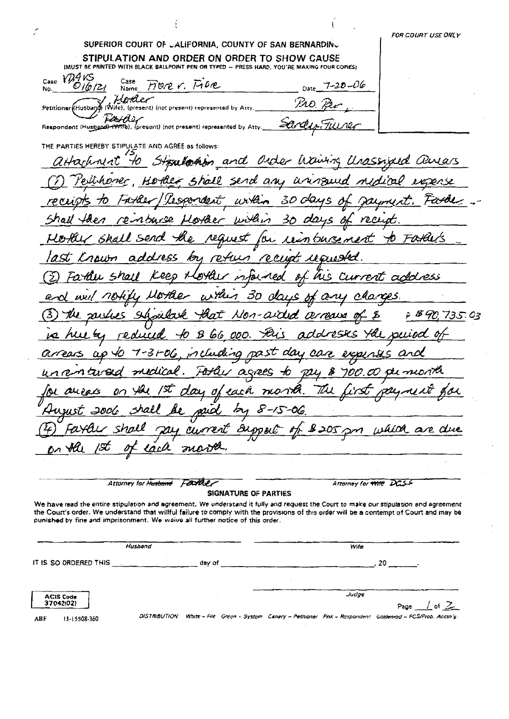سين FOR COURT USE ONLY SUPERIOR COURT OF JALIFORNIA, COUNTY OF SAN BERNARDINJ STIPULATION AND ORDER ON ORDER TO SHOW CAUSE (MUST BE PRINTED WITH BLACK BALLPOINT PEN OR TYPED - PRESS HARD, YOU'RE MAKING FOUR COPIES) Case VD9VS Case Fiver. Free  $7 - 20 - 06$  $O/(6/2)$ No. Name Date Hother  $\mathcal{P}$ ao (Husband) (Wife), (present) (not present) represented by Atty Petitioner Respondent (Husband) (WHALLY (not present) represented by Atty ZА THE PARTIES HEREBY STIPULATE AND AGREE as follows: on and Order Waving Urass uas 40 LICI. 'Ui **SU lorh** send an HLl rall nner KØ arisquia  $\mu$ rta ドレーヘイロ Δ with barse HL e Æ٧ ro Fatans O wst rcua ぬ retun rent address pHL d I al 70 h 30 ی، 72 æs F B 90  $\mathbf{a}$ arroa 735.03 ٨ -Jli 乞 reducid  $\bm{\mathcal{B}}$ 66 DI LL GL  $\mathcal{D\!Z}\mathcal{S}\mathcal{T}$ SLS. ШP 3 D/ . Ĉ سا Du ni αo oα Ant ears ł へ n nem turesa agrees  $\mathcal{D}^{IJ}$ ⊀ว B M U Œ. each Ш nont  $\sigma$ mud ム 8-15 -06 which are due Current Ä  $205$  pm ומ DD BL lac $\mu$ MO. ÖЛ Attorney for Husband Father Attorney for Wife DCSS SIGNATURE OF PARTIES We have read the entire stipulation and agreement. We understand it fully and request the Court to make our stipulation and agreement the Court's order. We understand that willful failure to comply with the provisions of this order will be a contempt of Court and may be punished by fine and imprisonment. We waive all further notice of this order.

|                               | Husband              |        |  | Wite  |                                                                                                  |
|-------------------------------|----------------------|--------|--|-------|--------------------------------------------------------------------------------------------------|
| IT IS SO ORDERED THIS         |                      | day of |  |       | 20.                                                                                              |
|                               |                      |        |  |       |                                                                                                  |
| <b>ACIS Code</b><br>37042102) |                      |        |  | Judge | Page $\perp$ of $\angle$                                                                         |
| 13-15508-360<br>ABF.          | <b>DISTRIBUTION:</b> |        |  |       | White - File Green - System Canary - Petitioner Pink - Respondent Goldenrod - FCS/Prob. Acctn'y. |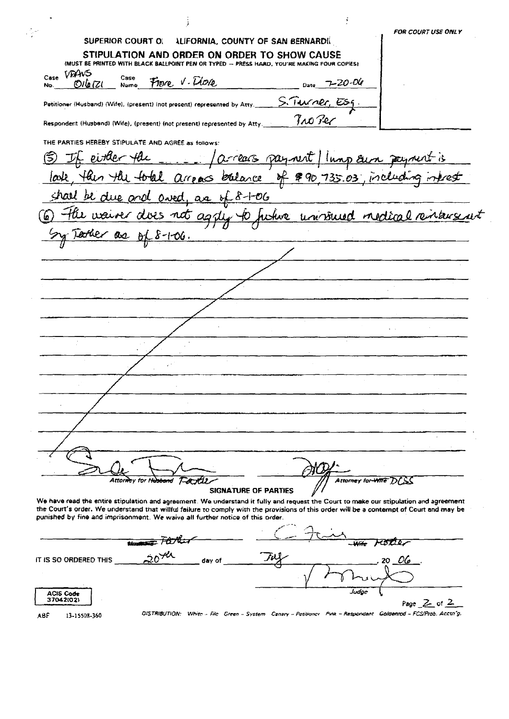|             | SUPERIOR COURT OI                                                         |                                                                                                                                                                                                                                                                                   | ALIFORNIA, COUNTY OF SAN BERNARDI   |                                   | <b>FOR COURT USE ONLY</b>                                           |
|-------------|---------------------------------------------------------------------------|-----------------------------------------------------------------------------------------------------------------------------------------------------------------------------------------------------------------------------------------------------------------------------------|-------------------------------------|-----------------------------------|---------------------------------------------------------------------|
|             |                                                                           | STIPULATION AND ORDER ON ORDER TO SHOW CAUSE<br>(MUST BE PRINTED WITH BLACK BALLPOINT PEN OR TYPED - PRESS HARD, YOU'RE MAKING FOUR COPIES)                                                                                                                                       |                                     |                                   |                                                                     |
| Case<br>No. | VAANS<br>Case<br>Olla (Zl<br>Name                                         | Flore V. Diore                                                                                                                                                                                                                                                                    |                                     | $Date$ 7-20-06                    |                                                                     |
|             |                                                                           | Petitioner (Husband) (Wife), (present) (not present) represented by Atty.                                                                                                                                                                                                         |                                     | <u>S. Turner, Esq.</u><br>Joo Per |                                                                     |
|             |                                                                           | Respondent (Husband) (Wife), (present) (not present) represented by Atty.                                                                                                                                                                                                         |                                     |                                   |                                                                     |
|             | THE PARTIES HEREBY STIPULATE AND AGREE as follows:<br><u>, either the</u> |                                                                                                                                                                                                                                                                                   | arrears payment Inop our payment is |                                   |                                                                     |
|             |                                                                           | lask then the total arroas balance of \$90,735.03, including into                                                                                                                                                                                                                 |                                     |                                   |                                                                     |
|             |                                                                           | shall be due and oved, as of 8-1-06                                                                                                                                                                                                                                               |                                     |                                   |                                                                     |
|             |                                                                           |                                                                                                                                                                                                                                                                                   |                                     |                                   | 6) The waiver dives not agay to future univolued nedical rentangunt |
|             | Textuer are of 8-1-06.                                                    |                                                                                                                                                                                                                                                                                   |                                     |                                   |                                                                     |
|             |                                                                           |                                                                                                                                                                                                                                                                                   |                                     |                                   |                                                                     |
|             |                                                                           |                                                                                                                                                                                                                                                                                   |                                     |                                   |                                                                     |
|             |                                                                           |                                                                                                                                                                                                                                                                                   |                                     |                                   |                                                                     |
|             |                                                                           |                                                                                                                                                                                                                                                                                   |                                     |                                   |                                                                     |
|             |                                                                           |                                                                                                                                                                                                                                                                                   |                                     |                                   |                                                                     |
|             |                                                                           |                                                                                                                                                                                                                                                                                   |                                     |                                   |                                                                     |
|             |                                                                           |                                                                                                                                                                                                                                                                                   |                                     |                                   |                                                                     |
|             |                                                                           |                                                                                                                                                                                                                                                                                   |                                     |                                   |                                                                     |
|             |                                                                           |                                                                                                                                                                                                                                                                                   |                                     |                                   |                                                                     |
|             |                                                                           |                                                                                                                                                                                                                                                                                   |                                     |                                   |                                                                     |
|             |                                                                           |                                                                                                                                                                                                                                                                                   |                                     |                                   |                                                                     |
|             |                                                                           |                                                                                                                                                                                                                                                                                   |                                     |                                   |                                                                     |
|             |                                                                           |                                                                                                                                                                                                                                                                                   |                                     |                                   |                                                                     |
|             |                                                                           |                                                                                                                                                                                                                                                                                   |                                     |                                   |                                                                     |
|             |                                                                           | Attor <del>ne</del> y for H <del>usband</del><br>Fordi                                                                                                                                                                                                                            |                                     | Attorney for WITE                 |                                                                     |
|             |                                                                           |                                                                                                                                                                                                                                                                                   | SIGNATURE OF PARTIES                |                                   |                                                                     |
|             |                                                                           | We have read the entire stipulation and agreement. We understand it fully and request the Court to make our stipulation and agreement<br>the Court's order. We understand that willful failure to comply with the provisions of this order will be a contempt of Court and may be |                                     |                                   |                                                                     |
|             |                                                                           | punished by fine and imprisonment. We waive all further notice of this order.                                                                                                                                                                                                     |                                     |                                   |                                                                     |
|             |                                                                           |                                                                                                                                                                                                                                                                                   |                                     |                                   |                                                                     |
|             |                                                                           | <del>mer Parker</del><br>20 <sup>72</sup>                                                                                                                                                                                                                                         |                                     |                                   | 20 OG                                                               |
|             | IT IS SO ORDERED THIS                                                     | day of                                                                                                                                                                                                                                                                            |                                     |                                   |                                                                     |
|             | <b>ACIS Code</b><br>37042(02)                                             |                                                                                                                                                                                                                                                                                   |                                     | Judge                             |                                                                     |
|             |                                                                           |                                                                                                                                                                                                                                                                                   |                                     |                                   | Page $Z$ of $Z$                                                     |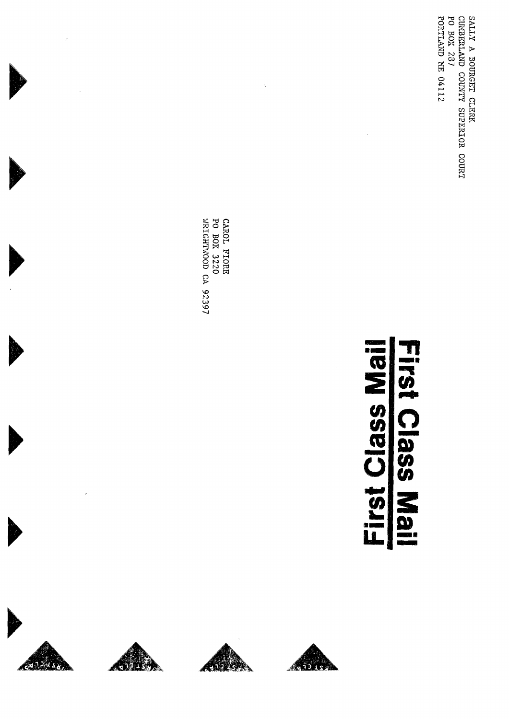SALLY A BOURGET CLERK<br>CUGBERLAND COUNTY SUPERIOR COURT<br>PO BOX 287 PORTIAND HE 04112

# First Class Mail First Class Mail

CAROL FIORE<br>PO BOX 3220<br>WRIGHTWOOD CA 92397

 $\hat{\boldsymbol{\theta}}_1$ 



 $\hat{\epsilon}$ 





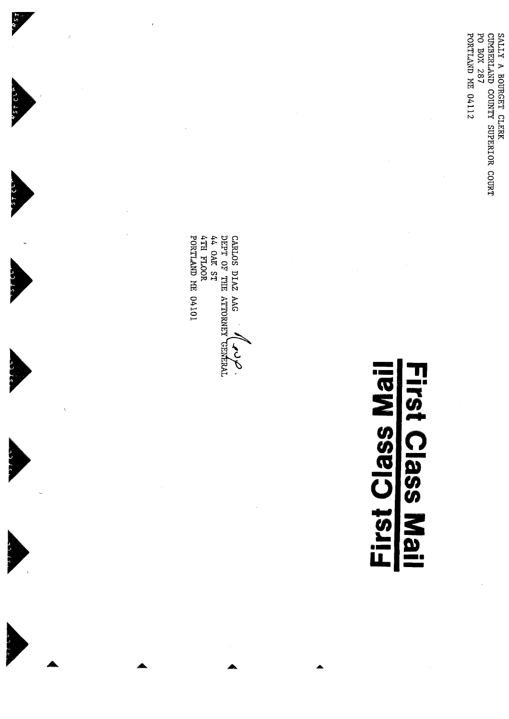SALLY A BOURGET CLERK<br>CUMBERLAND COUNTY SUPERIOR COURT<br>PO BOX 287 **PORTLAND ME 04112** 

# First Class Mail First Class Mail

CARLOS DIAZ AAG (VOLT) PORTIAND HE 04101 ATH FLOOR 44 OAK ST

5

 $757$  CVP